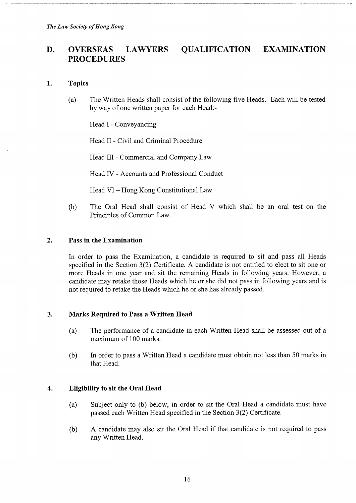# D. OVERSEAS LAWYERS QUALIFICATION EXAMINATION PROCEDURES

#### 1. Topics

(a) The Written Heads shall consist of the following five Heads. Each will be tested by way of one written paper for each Head:-

Head I - Conveyancing

Head II - Civil and Criminal Procedure

Head III - Commercial and Company Law

Head IV - Accounts and Professional Conduct

Head VI - Hong Kong Constitutional Law

(b) The Oral Head shall consist of Head V which shall be an oral test on the Principles of Common Law.

#### 2. Pass in the Examination

In order to pass the Examination, a candidate is required to sit and pass all Heads specified in the Section 3(2) Certificate. A candidate is not entitled to elect to sit one or more Heads in one year and sit the remaining Heads in following years. However, a candidate may retake those Heads which he or she did not pass in following years and is not required to retake the Heads which he or she has already passed.

#### 3. Marks Required to Pass a Written Head

- (a) The performance of a candidate in each Written Head shall be assessed out of a maximum of 100 marks.
- (b) In order to pass a Written Head a candidate must obtain not less than 50 marks in that Head.

## 4. Eligibility to sit the Oral Head

- (a) Subject only to (b) below, in order to sit the Oral Head a candidate must have passed each Written Head specified in the Section 3(2) Certificate.
- (b) A candidate may also sit the Oral Head if that candidate is not required to pass any Written Head.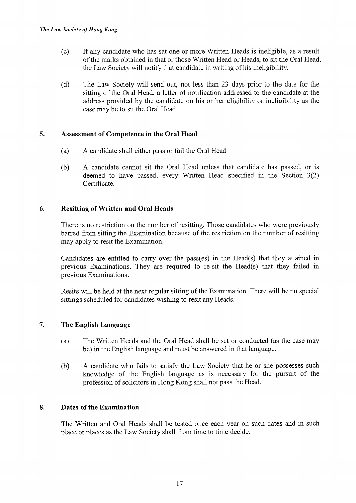- (c) If any candidate who has sat one or more Written Heads is ineligible, as a result of the marks obtained in that or those Written Head or Heads, to sit the Oral Head, the Law Society will notify that candidate in writing of his ineligibility.
- (d) The Law Society will send out, not less than 23 days prior to the date for the sitting of the Oral Head, a letter of notification addressed to the candidate at the address provided by the candidate on his or her eligibility or ineligibility as the case may be to sit the Oral Head.

### 5. Assessment of Competence in the Oral Head

- (a) A candidate shall either pass or fail the Oral Head.
- (b) A candidate cannot sit the Oral Head unless that candidate has passed, or is deemed to have passed, every Written Head specified in the Section 3(2) Certificate.

## 6. Resitting of Written and Oral Heads

There is no restriction on the number of resitting. Those candidates who were previously barred from sitting the Examination because of the restriction on the number of resitting may apply to resit the Examination.

Candidates are entitled to carry over the pass(es) in the Head(s) that they attained in previous Examinations. They are required to re-sit the Head(s) that they failed in previous Examinations.

Resits will be held at the next regular sitting of the Examination. There will be no special sittings scheduled for candidates wishing to resit any Heads.

## 7. The English Language

- (a) The Written Heads and the Oral Head shall be set or conducted (as the case may be) in the English language and must be answered in that language.
- (b) A candidate who fails to satisfy the Law Society that he or she possesses such knowledge of the English language as is necessary for the pursuit of the profession of solicitors in Hong Kong shall not pass the Head.

#### 8. Dates of the Examination

The Written and Oral Heads shall be tested once each year on such dates and in such place or places as the Law Society shall from time to time decide.